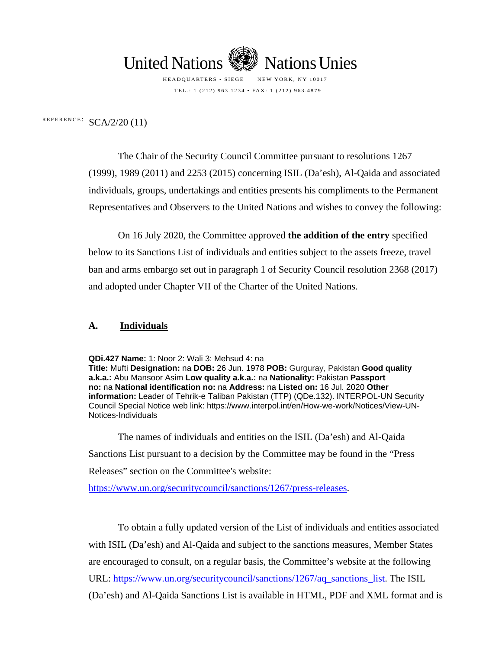

HEADQUARTERS • SIEGE NEW YORK, NY 10017 TEL.: 1 (212) 963.1234 • FAX: 1 (212) 963.4879

REFERENCE:  $SCA/2/20$  (11)

The Chair of the Security Council Committee pursuant to resolutions 1267 (1999), 1989 (2011) and 2253 (2015) concerning ISIL (Da'esh), Al-Qaida and associated individuals, groups, undertakings and entities presents his compliments to the Permanent Representatives and Observers to the United Nations and wishes to convey the following:

On 16 July 2020, the Committee approved **the addition of the entry** specified below to its Sanctions List of individuals and entities subject to the assets freeze, travel ban and arms embargo set out in paragraph 1 of Security Council resolution 2368 (2017) and adopted under Chapter VII of the Charter of the United Nations.

#### **A. Individuals**

**QDi.427 Name:** 1: Noor 2: Wali 3: Mehsud 4: na

**Title:** Mufti **Designation:** na **DOB:** 26 Jun. 1978 **POB:** Gurguray, Pakistan **Good quality a.k.a.:** Abu Mansoor Asim **Low quality a.k.a.:** na **Nationality:** Pakistan **Passport no:** na **National identification no:** na **Address:** na **Listed on:** 16 Jul. 2020 **Other information:** Leader of Tehrik-e Taliban Pakistan (TTP) (QDe.132). INTERPOL-UN Security Council Special Notice web link: https://www.interpol.int/en/How-we-work/Notices/View-UN-Notices-Individuals

The names of individuals and entities on the ISIL (Da'esh) and Al-Qaida Sanctions List pursuant to a decision by the Committee may be found in the "Press Releases" section on the Committee's website:

https://www.un.org/securitycouncil/sanctions/1267/press-releases.

To obtain a fully updated version of the List of individuals and entities associated with ISIL (Da'esh) and Al-Qaida and subject to the sanctions measures, Member States are encouraged to consult, on a regular basis, the Committee's website at the following URL: [https://www.un.org/securitycouncil/sanctions/1267/aq\\_sanctions\\_list.](https://www.un.org/securitycouncil/sanctions/1267/aq_sanctions_list) The ISIL (Da'esh) and Al-Qaida Sanctions List is available in HTML, PDF and XML format and is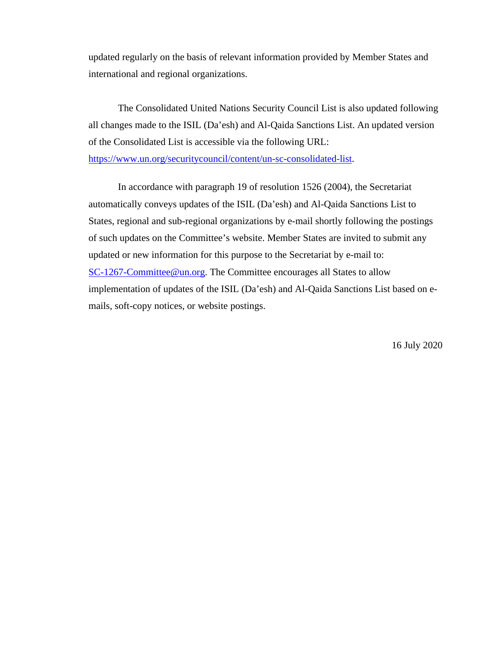updated regularly on the basis of relevant information provided by Member States and international and regional organizations.

The Consolidated United Nations Security Council List is also updated following all changes made to the ISIL (Da'esh) and Al-Qaida Sanctions List. An updated version of the Consolidated List is accessible via the following URL:

[https://www.un.org/securitycouncil/content/un-sc-consolidated-list.](https://www.un.org/securitycouncil/content/un-sc-consolidated-list)

In accordance with paragraph 19 of resolution 1526 (2004), the Secretariat automatically conveys updates of the ISIL (Da'esh) and Al-Qaida Sanctions List to States, regional and sub-regional organizations by e-mail shortly following the postings of such updates on the Committee's website. Member States are invited to submit any updated or new information for this purpose to the Secretariat by e-mail to: [SC-1267-Committee@un.org.](mailto:SC-1267-Committee@un.org) The Committee encourages all States to allow implementation of updates of the ISIL (Da'esh) and Al-Qaida Sanctions List based on emails, soft-copy notices, or website postings.

16 July 2020